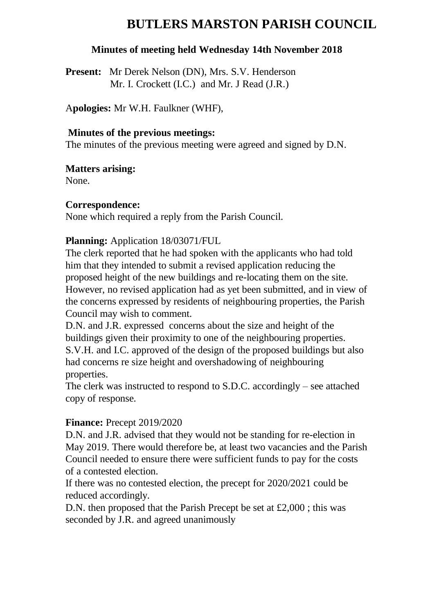# **BUTLERS MARSTON PARISH COUNCIL**

#### **Minutes of meeting held Wednesday 14th November 2018**

**Present:** Mr Derek Nelson (DN), Mrs. S.V. Henderson Mr. I. Crockett (I.C.) and Mr. J Read (J.R.)

A**pologies:** Mr W.H. Faulkner (WHF),

#### **Minutes of the previous meetings:**

The minutes of the previous meeting were agreed and signed by D.N.

**Matters arising:** 

None.

#### **Correspondence:**

None which required a reply from the Parish Council.

## **Planning:** Application 18/03071/FUL

The clerk reported that he had spoken with the applicants who had told him that they intended to submit a revised application reducing the proposed height of the new buildings and re-locating them on the site. However, no revised application had as yet been submitted, and in view of the concerns expressed by residents of neighbouring properties, the Parish Council may wish to comment.

D.N. and J.R. expressed concerns about the size and height of the buildings given their proximity to one of the neighbouring properties. S.V.H. and I.C. approved of the design of the proposed buildings but also had concerns re size height and overshadowing of neighbouring properties.

The clerk was instructed to respond to S.D.C. accordingly – see attached copy of response.

## **Finance:** Precept 2019/2020

D.N. and J.R. advised that they would not be standing for re-election in May 2019. There would therefore be, at least two vacancies and the Parish Council needed to ensure there were sufficient funds to pay for the costs of a contested election.

If there was no contested election, the precept for 2020/2021 could be reduced accordingly.

D.N. then proposed that the Parish Precept be set at £2,000 ; this was seconded by J.R. and agreed unanimously